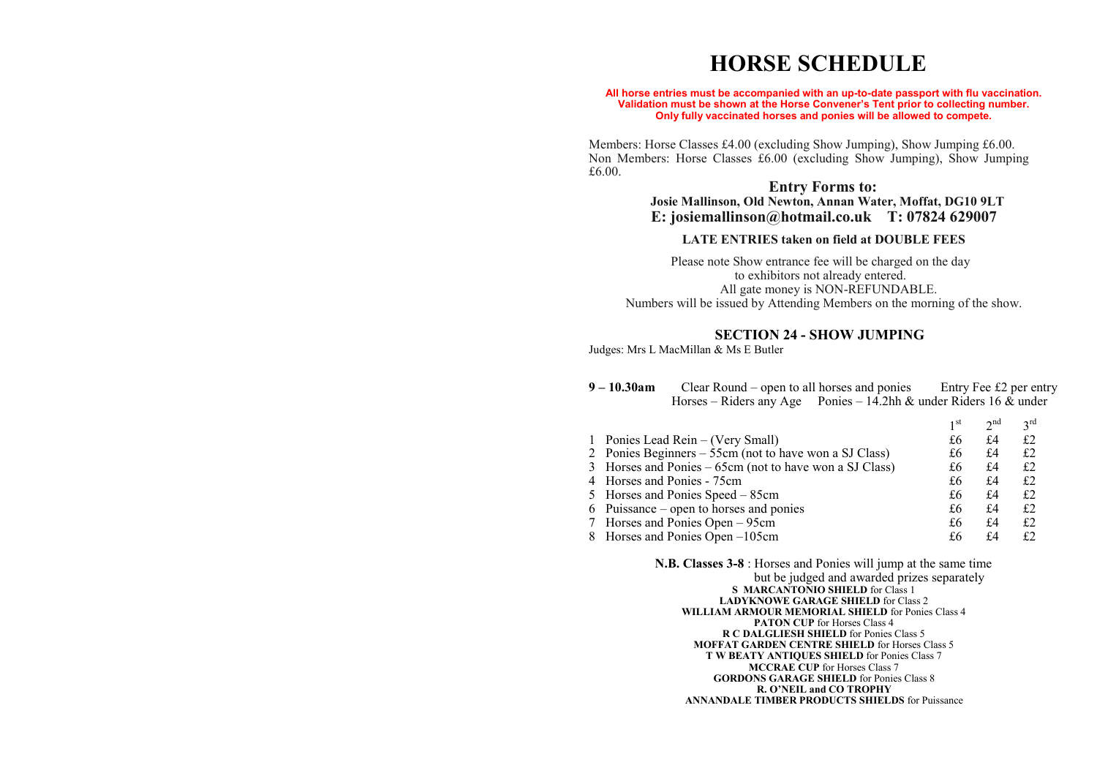# **HORSE SCHEDULE**

#### **All horse entries must be accompanied with an up-to-date passport with flu vaccination. Validation must be shown at the Horse Convener's Tent prior to collecting number. Only fully vaccinated horses and ponies will be allowed to compete.**

Members: Horse Classes £4.00 (excluding Show Jumping), Show Jumping £6.00. Non Members: Horse Classes £6.00 (excluding Show Jumping), Show Jumping £6.00.

## **Entry Forms to: Josie Mallinson, Old Newton, Annan Water, Moffat, DG10 9LT E: josiemallinson@hotmail.co.uk T: 07824 629007**

#### **LATE ENTRIES taken on field at DOUBLE FEES**

Please note Show entrance fee will be charged on the day to exhibitors not already entered. All gate money is NON-REFUNDABLE. Numbers will be issued by Attending Members on the morning of the show.

#### **SECTION 24 - SHOW JUMPING**

Judges: Mrs L MacMillan & Ms E Butler

**9 – 10.30am** Clear Round – open to all horses and ponies Entry Fee £2 per entry Horses – Riders any Age Ponies – 14.2hh & under Riders 16  $\&$  under

 $1$  et

|                                                         | 1 <sup>st</sup> | $2^{nd}$ | 2rd |
|---------------------------------------------------------|-----------------|----------|-----|
| 1 Ponies Lead Rein – (Very Small)                       | £6              | £4       | £2  |
| 2 Ponies Beginners – 55cm (not to have won a SJ Class)  | £6              | £4       | £2  |
| 3 Horses and Ponies – 65cm (not to have won a SJ Class) | £6              | £4       | £2  |
| 4 Horses and Ponies - 75cm                              | £6              | £4       | £2  |
| 5 Horses and Ponies Speed – 85cm                        | £6              | £4       | £2  |
| 6 Puissance – open to horses and ponies                 | £6              | £4       | £2  |
| 7 Horses and Ponies Open – 95cm                         | £6              | £4       | £2  |
| 8 Horses and Ponies Open –105cm                         | £6              | f4       | £2  |

#### **N.B. Classes 3-8** : Horses and Ponies will jump at the same time but be judged and awarded prizes separately **S MARCANTONIO SHIELD** for Class 1 **LADYKNOWE GARAGE SHIELD** for Class 2 **WILLIAM ARMOUR MEMORIAL SHIELD** for Ponies Class 4 **PATON CUP** for Horses Class 4 **R C DALGLIESH SHIELD** for Ponies Class 5 **MOFFAT GARDEN CENTRE SHIELD** for Horses Class 5 **T W BEATY ANTIQUES SHIELD** for Ponies Class 7 **MCCRAE CUP** for Horses Class 7 **GORDONS GARAGE SHIELD** for Ponies Class 8 **R. O'NEIL and CO TROPHY ANNANDALE TIMBER PRODUCTS SHIELDS** for Puissance